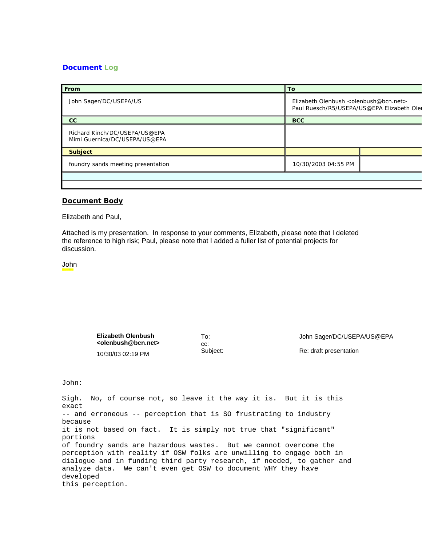## **Document Log**

| From                                                           | l Tol                                                                                 |  |
|----------------------------------------------------------------|---------------------------------------------------------------------------------------|--|
| John Sager/DC/USEPA/US                                         | Elizabeth Olenbush < olenbush@bcn.net ><br>Paul Ruesch/R5/USEPA/US@EPA Elizabeth Oler |  |
| cc                                                             | <b>BCC</b>                                                                            |  |
| Richard Kinch/DC/USEPA/US@EPA<br>Mimi Guernica/DC/USEPA/US@EPA |                                                                                       |  |
| <b>Subject</b>                                                 |                                                                                       |  |
| foundry sands meeting presentation                             | 10/30/2003 04:55 PM                                                                   |  |
|                                                                |                                                                                       |  |

## **Document Body**

Elizabeth and Paul,

Attached is my presentation. In response to your comments, Elizabeth, please note that I deleted the reference to high risk; Paul, please note that I added a fuller list of potential projects for discussion.

John

**Elizabeth Olenbush <olenbush@bcn.net>**  10/30/03 02:19 PM

cc:

To: John Sager/DC/USEPA/US@EPA

Subject: Re: draft presentation

John:

Sigh. No, of course not, so leave it the way it is. But it is this exact -- and erroneous -- perception that is SO frustrating to industry because it is not based on fact. It is simply not true that "significant" portions of foundry sands are hazardous wastes. But we cannot overcome the perception with reality if OSW folks are unwilling to engage both in dialogue and in funding third party research, if needed, to gather and analyze data. We can't even get OSW to document WHY they have developed this perception.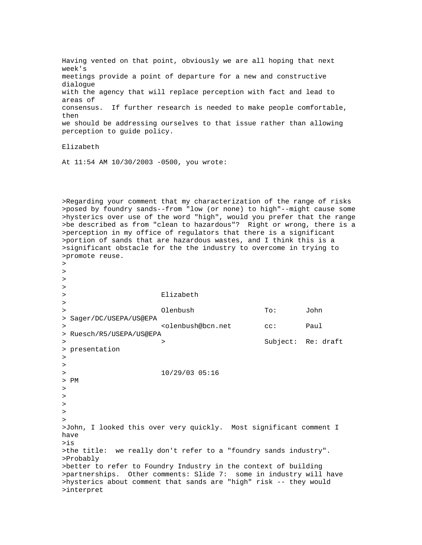Having vented on that point, obviously we are all hoping that next week's meetings provide a point of departure for a new and constructive dialogue with the agency that will replace perception with fact and lead to areas of consensus. If further research is needed to make people comfortable, then we should be addressing ourselves to that issue rather than allowing perception to guide policy.

Elizabeth

At 11:54 AM 10/30/2003 -0500, you wrote:

>Regarding your comment that my characterization of the range of risks >posed by foundry sands--from "low (or none) to high"--might cause some >hysterics over use of the word "high", would you prefer that the range >be described as from "clean to hazardous"? Right or wrong, there is a >perception in my office of regulators that there is a significant >portion of sands that are hazardous wastes, and I think this is a >significant obstacle for the the industry to overcome in trying to >promote reuse.  $\overline{\phantom{a}}$ 

> > > > Elizabeth > > Olenbush To: John > Sager/DC/USEPA/US@EPA > <olenbush@bcn.net cc: Paul > Ruesch/R5/USEPA/US@EPA > > Subject: Re: draft > presentation > > > 10/29/03 05:16 > PM > > >  $\rightarrow$  $\rightarrow$ >John, I looked this over very quickly. Most significant comment I have >is >the title: we really don't refer to a "foundry sands industry". >Probably >better to refer to Foundry Industry in the context of building >partnerships. Other comments: Slide 7: some in industry will have >hysterics about comment that sands are "high" risk -- they would >interpret